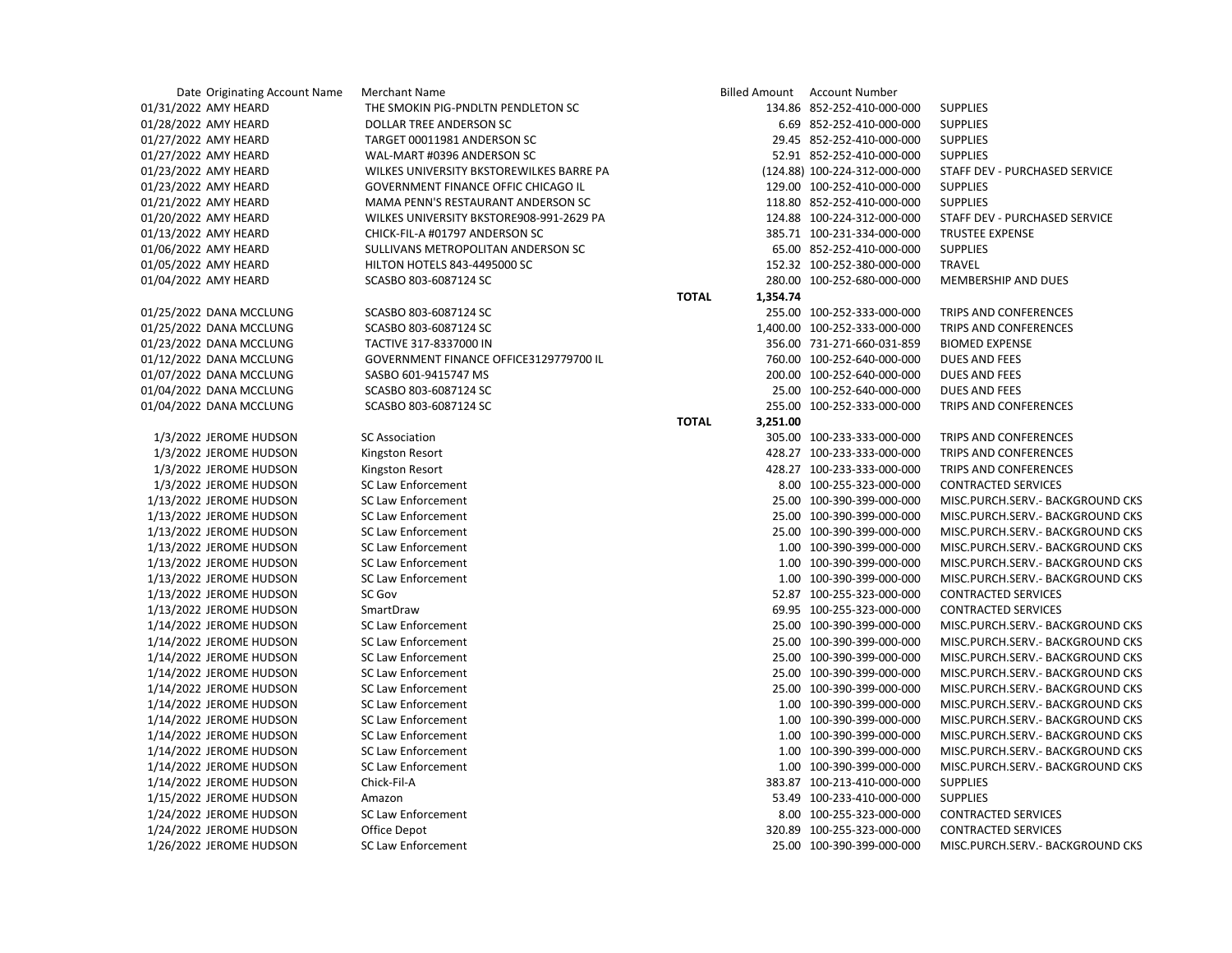| Date Originating Account Name | <b>Merchant Name</b>                     | <b>Billed Amount</b>     | Account Number               |                                   |
|-------------------------------|------------------------------------------|--------------------------|------------------------------|-----------------------------------|
| 01/31/2022 AMY HEARD          | THE SMOKIN PIG-PNDLTN PENDLETON SC       |                          | 134.86 852-252-410-000-000   | <b>SUPPLIES</b>                   |
| 01/28/2022 AMY HEARD          | DOLLAR TREE ANDERSON SC                  |                          | 6.69 852-252-410-000-000     | <b>SUPPLIES</b>                   |
| 01/27/2022 AMY HEARD          | TARGET 00011981 ANDERSON SC              |                          | 29.45 852-252-410-000-000    | <b>SUPPLIES</b>                   |
| 01/27/2022 AMY HEARD          | WAL-MART #0396 ANDERSON SC               |                          | 52.91 852-252-410-000-000    | <b>SUPPLIES</b>                   |
| 01/23/2022 AMY HEARD          | WILKES UNIVERSITY BKSTOREWILKES BARRE PA |                          | (124.88) 100-224-312-000-000 | STAFF DEV - PURCHASED SERVICE     |
| 01/23/2022 AMY HEARD          | GOVERNMENT FINANCE OFFIC CHICAGO IL      |                          | 129.00 100-252-410-000-000   | <b>SUPPLIES</b>                   |
| 01/21/2022 AMY HEARD          | MAMA PENN'S RESTAURANT ANDERSON SC       |                          | 118.80 852-252-410-000-000   | <b>SUPPLIES</b>                   |
| 01/20/2022 AMY HEARD          | WILKES UNIVERSITY BKSTORE908-991-2629 PA |                          | 124.88 100-224-312-000-000   | STAFF DEV - PURCHASED SERVICE     |
| 01/13/2022 AMY HEARD          | CHICK-FIL-A #01797 ANDERSON SC           |                          | 385.71 100-231-334-000-000   | <b>TRUSTEE EXPENSE</b>            |
| 01/06/2022 AMY HEARD          | SULLIVANS METROPOLITAN ANDERSON SC       |                          | 65.00 852-252-410-000-000    | <b>SUPPLIES</b>                   |
| 01/05/2022 AMY HEARD          | HILTON HOTELS 843-4495000 SC             |                          | 152.32 100-252-380-000-000   | <b>TRAVEL</b>                     |
| 01/04/2022 AMY HEARD          | SCASBO 803-6087124 SC                    |                          | 280.00 100-252-680-000-000   | MEMBERSHIP AND DUES               |
|                               |                                          | <b>TOTAL</b><br>1,354.74 |                              |                                   |
| 01/25/2022 DANA MCCLUNG       | SCASBO 803-6087124 SC                    |                          | 255.00 100-252-333-000-000   | TRIPS AND CONFERENCES             |
| 01/25/2022 DANA MCCLUNG       | SCASBO 803-6087124 SC                    |                          | 1,400.00 100-252-333-000-000 | TRIPS AND CONFERENCES             |
| 01/23/2022 DANA MCCLUNG       | TACTIVE 317-8337000 IN                   |                          | 356.00 731-271-660-031-859   | <b>BIOMED EXPENSE</b>             |
| 01/12/2022 DANA MCCLUNG       | GOVERNMENT FINANCE OFFICE3129779700 IL   |                          | 760.00 100-252-640-000-000   | <b>DUES AND FEES</b>              |
| 01/07/2022 DANA MCCLUNG       | SASBO 601-9415747 MS                     |                          | 200.00 100-252-640-000-000   | <b>DUES AND FEES</b>              |
| 01/04/2022 DANA MCCLUNG       | SCASBO 803-6087124 SC                    |                          | 25.00 100-252-640-000-000    | <b>DUES AND FEES</b>              |
| 01/04/2022 DANA MCCLUNG       | SCASBO 803-6087124 SC                    |                          | 255.00 100-252-333-000-000   | TRIPS AND CONFERENCES             |
|                               |                                          | <b>TOTAL</b><br>3,251.00 |                              |                                   |
| 1/3/2022 JEROME HUDSON        | <b>SC Association</b>                    |                          | 305.00 100-233-333-000-000   | TRIPS AND CONFERENCES             |
| 1/3/2022 JEROME HUDSON        | Kingston Resort                          |                          | 428.27 100-233-333-000-000   | TRIPS AND CONFERENCES             |
| 1/3/2022 JEROME HUDSON        | Kingston Resort                          |                          | 428.27 100-233-333-000-000   | TRIPS AND CONFERENCES             |
| 1/3/2022 JEROME HUDSON        | <b>SC Law Enforcement</b>                |                          | 8.00 100-255-323-000-000     | <b>CONTRACTED SERVICES</b>        |
| 1/13/2022 JEROME HUDSON       | <b>SC Law Enforcement</b>                |                          | 25.00 100-390-399-000-000    | MISC.PURCH.SERV.- BACKGROUND CKS  |
| 1/13/2022 JEROME HUDSON       | <b>SC Law Enforcement</b>                |                          | 25.00 100-390-399-000-000    | MISC.PURCH.SERV.- BACKGROUND CKS  |
| 1/13/2022 JEROME HUDSON       | <b>SC Law Enforcement</b>                |                          | 25.00 100-390-399-000-000    | MISC.PURCH.SERV.- BACKGROUND CKS  |
| 1/13/2022 JEROME HUDSON       | <b>SC Law Enforcement</b>                |                          | 1.00 100-390-399-000-000     | MISC.PURCH.SERV.- BACKGROUND CKS  |
| 1/13/2022 JEROME HUDSON       | <b>SC Law Enforcement</b>                |                          | 1.00 100-390-399-000-000     | MISC.PURCH.SERV. - BACKGROUND CKS |
| 1/13/2022 JEROME HUDSON       | <b>SC Law Enforcement</b>                |                          | 1.00 100-390-399-000-000     | MISC.PURCH.SERV.- BACKGROUND CKS  |
| 1/13/2022 JEROME HUDSON       | SC Gov                                   |                          | 52.87 100-255-323-000-000    | <b>CONTRACTED SERVICES</b>        |
| 1/13/2022 JEROME HUDSON       | SmartDraw                                |                          | 69.95 100-255-323-000-000    | <b>CONTRACTED SERVICES</b>        |
| 1/14/2022 JEROME HUDSON       | <b>SC Law Enforcement</b>                |                          | 25.00 100-390-399-000-000    | MISC.PURCH.SERV.- BACKGROUND CKS  |
| 1/14/2022 JEROME HUDSON       | <b>SC Law Enforcement</b>                |                          | 25.00 100-390-399-000-000    | MISC.PURCH.SERV.- BACKGROUND CKS  |
| 1/14/2022 JEROME HUDSON       | <b>SC Law Enforcement</b>                |                          | 25.00 100-390-399-000-000    | MISC.PURCH.SERV.- BACKGROUND CKS  |
| 1/14/2022 JEROME HUDSON       | <b>SC Law Enforcement</b>                |                          | 25.00 100-390-399-000-000    | MISC.PURCH.SERV. - BACKGROUND CKS |
| 1/14/2022 JEROME HUDSON       | <b>SC Law Enforcement</b>                |                          | 25.00 100-390-399-000-000    | MISC.PURCH.SERV. - BACKGROUND CKS |
| 1/14/2022 JEROME HUDSON       | <b>SC Law Enforcement</b>                |                          | 1.00 100-390-399-000-000     | MISC.PURCH.SERV.- BACKGROUND CKS  |
| 1/14/2022 JEROME HUDSON       | <b>SC Law Enforcement</b>                |                          | 1.00 100-390-399-000-000     | MISC.PURCH.SERV.- BACKGROUND CKS  |
| 1/14/2022 JEROME HUDSON       | <b>SC Law Enforcement</b>                |                          | 1.00 100-390-399-000-000     | MISC.PURCH.SERV.- BACKGROUND CKS  |
| 1/14/2022 JEROME HUDSON       | <b>SC Law Enforcement</b>                |                          | 1.00 100-390-399-000-000     | MISC.PURCH.SERV.- BACKGROUND CKS  |
| 1/14/2022 JEROME HUDSON       | <b>SC Law Enforcement</b>                |                          | 1.00 100-390-399-000-000     | MISC.PURCH.SERV.- BACKGROUND CKS  |
| 1/14/2022 JEROME HUDSON       | Chick-Fil-A                              |                          | 383.87 100-213-410-000-000   | <b>SUPPLIES</b>                   |
| 1/15/2022 JEROME HUDSON       | Amazon                                   |                          | 53.49 100-233-410-000-000    | <b>SUPPLIES</b>                   |
| 1/24/2022 JEROME HUDSON       | SC Law Enforcement                       |                          | 8.00 100-255-323-000-000     | <b>CONTRACTED SERVICES</b>        |
| 1/24/2022 JEROME HUDSON       | Office Depot                             |                          | 320.89 100-255-323-000-000   | <b>CONTRACTED SERVICES</b>        |
| 1/26/2022 JEROME HUDSON       | <b>SC Law Enforcement</b>                |                          | 25.00 100-390-399-000-000    | MISC.PURCH.SERV.- BACKGROUND CKS  |
|                               |                                          |                          |                              |                                   |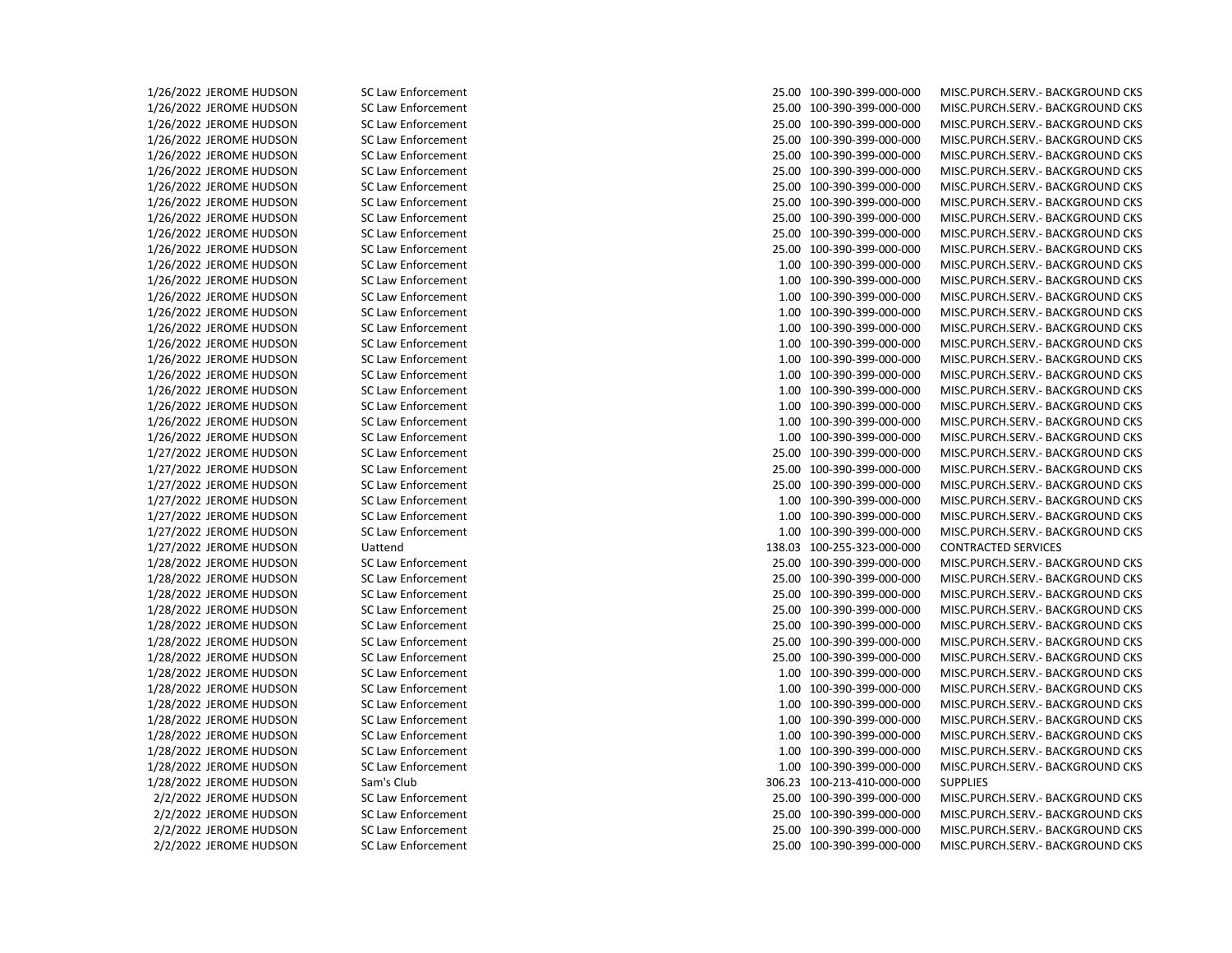1/26/2022 JEROME HUDSON SC Law Enforcement 25.00 100-390-399-000-000 MISC.PURCH.SERV.- BACKGROUND CKS 1/26/2022 JEROME HUDSON SC Law Enforcement 25.00 100-390-399-000-000 MISC.PURCH.SERV.- BACKGROUND CKS 1/26/2022 JEROME HUDSON SC Law Enforcement 25.00 100-390-399-000-000 MISC.PURCH.SERV.- BACKGROUND CKS 1/26/2022 JEROME HUDSON SC Law Enforcement 25.00 100-390-399-000-000 MISC.PURCH.SERV.- BACKGROUND CKS 1/26/2022 JEROME HUDSON SC Law Enforcement 25.00 100-390-399-000-000 MISC.PURCH.SERV.- BACKGROUND CKS 1/26/2022 JEROME HUDSON SC Law Enforcement 25.00 100-390-399-000-000 MISC.PURCH.SERV.- BACKGROUND CKS 1/26/2022 JEROME HUDSON SC Law Enforcement 25.00 100-390-399-000-000 MISC.PURCH.SERV.- BACKGROUND CKS 1/26/2022 JEROME HUDSON SC Law Enforcement 25.00 100-390-399-000-000 MISC.PURCH.SERV.- BACKGROUND CKS 1/26/2022 JEROME HUDSON SC Law Enforcement 25.00 100-390-399-000-000 MISC.PURCH.SERV.- BACKGROUND CKS 1/26/2022 JEROME HUDSON SC Law Enforcement 25.00 100-390-399-000-000 MISC.PURCH.SERV.- BACKGROUND CKS 1/26/2022 JEROME HUDSON SC Law Enforcement 25.00 100-390-399-000-000 MISC.PURCH.SERV.- BACKGROUND CKS 1/26/2022 JEROME HUDSON SC Law Enforcement 1.00 100-390-399-000-000 MISC.PURCH.SERV.- BACKGROUND CKS 1/26/2022 JEROME HUDSON SC Law Enforcement 1.00 100-390-399-000-000 MISC.PURCH.SERV.- BACKGROUND CKS 1/26/2022 JEROME HUDSON SC Law Enforcement 1.00 100-390-399-000-000 MISC.PURCH.SERV.- BACKGROUND CKS 1/26/2022 JEROME HUDSON SC Law Enforcement 1.00 100-390-399-000-000 MISC.PURCH.SERV.- BACKGROUND CKS 1/26/2022 JEROME HUDSON SC Law Enforcement 1.00 100-390-399-000-000 MISC.PURCH.SERV.- BACKGROUND CKS 1/26/2022 JEROME HUDSON SC Law Enforcement 1.00 100-390-399-000-000 MISC.PURCH.SERV.- BACKGROUND CKS 1/26/2022 JEROME HUDSON SC Law Enforcement 1.00 100-390-399-000-000 MISC.PURCH.SERV.- BACKGROUND CKS 1/26/2022 JEROME HUDSON SC Law Enforcement 1.00 100-390-399-000-000 MISC.PURCH.SERV.- BACKGROUND CKS 1/26/2022 JEROME HUDSON SC Law Enforcement 1.00 100-390-399-000-000 MISC.PURCH.SERV.- BACKGROUND CKS 1/26/2022 JEROME HUDSON SC Law Enforcement 1.00 100-390-399-000-000 MISC.PURCH.SERV.- BACKGROUND CKS 1/26/2022 JEROME HUDSON SC Law Enforcement 1.00 100-390-399-000-000 MISC.PURCH.SERV.- BACKGROUND CKS 1/26/2022 JEROME HUDSON SC Law Enforcement 1.00 100-390-399-000-000 MISC.PURCH.SERV.- BACKGROUND CKS 1/27/2022 JEROME HUDSON SC Law Enforcement 25.00 100-390-399-000-000 MISC.PURCH.SERV.- BACKGROUND CKS 1/27/2022 JEROME HUDSON SC Law Enforcement 25.00 100-390-399-000-000 MISC.PURCH.SERV.- BACKGROUND CKS 1/27/2022 JEROME HUDSON SC Law Enforcement 25.00 100-390-399-000-000 MISC.PURCH.SERV.- BACKGROUND CKS 1/27/2022 JEROME HUDSON SC Law Enforcement 1.00 100-390-399-000-000 MISC.PURCH.SERV.- BACKGROUND CKS 1/27/2022 JEROME HUDSON SC Law Enforcement 1.00 100-390-399-000-000 MISC.PURCH.SERV.- BACKGROUND CKS 1/27/2022 JEROME HUDSON SC Law Enforcement 1.00 100-390-399-000-000 MISC.PURCH.SERV.- BACKGROUND CKS 1/27/2022 JEROME HUDSON Uattend 138.03 100-255-323-000-000 CONTRACTED SERVICES 1/28/2022 JEROME HUDSON SC Law Enforcement 25.00 100-390-399-000-000 MISC.PURCH.SERV.- BACKGROUND CKS 1/28/2022 JEROME HUDSON SC Law Enforcement 25.00 100-390-399-000-000 MISC.PURCH.SERV.- BACKGROUND CKS 1/28/2022 JEROME HUDSON SC Law Enforcement 25.00 100-390-399-000-000 MISC.PURCH.SERV.- BACKGROUND CKS 1/28/2022 JEROME HUDSON SC Law Enforcement 25.00 100-390-399-000-000 MISC.PURCH.SERV.- BACKGROUND CKS 1/28/2022 JEROME HUDSON SC Law Enforcement 25.00 100-390-399-000-000 MISC.PURCH.SERV.- BACKGROUND CKS 1/28/2022 JEROME HUDSON SC Law Enforcement 25.00 100-390-399-000-000 MISC.PURCH.SERV.- BACKGROUND CKS 1/28/2022 JEROME HUDSON SC Law Enforcement 25.00 100-390-399-000-000 MISC.PURCH.SERV.- BACKGROUND CKS 1/28/2022 JEROME HUDSON SC Law Enforcement 1.00 100-390-399-000-000 MISC.PURCH.SERV.- BACKGROUND CKS 1/28/2022 JEROME HUDSON SC Law Enforcement 1.00 100-390-399-000-000 MISC.PURCH.SERV.- BACKGROUND CKS 1/28/2022 JEROME HUDSON SC Law Enforcement 1.00 100-390-399-000-000 MISC.PURCH.SERV.- BACKGROUND CKS 1/28/2022 JEROME HUDSON SC Law Enforcement 1.00 100-390-399-000-000 MISC.PURCH.SERV.- BACKGROUND CKS 1/28/2022 JEROME HUDSON SC Law Enforcement 1.00 100-390-399-000-000 MISC.PURCH.SERV.- BACKGROUND CKS 1/28/2022 JEROME HUDSON SC Law Enforcement 1.00 100-390-399-000-000 MISC.PURCH.SERV.- BACKGROUND CKS 1/28/2022 JEROME HUDSON SC Law Enforcement 1.00 100-390-399-000-000 MISC.PURCH.SERV.- BACKGROUND CKS 1/28/2022 JEROME HUDSON Sam's Club 306.23 100-213-410-000-000 SUPPLIES 2/2/2022 JEROME HUDSON SC Law Enforcement 25.00 100-390-399-000-000 MISC.PURCH.SERV.- BACKGROUND CKS 2/2/2022 JEROME HUDSON SC Law Enforcement 25.00 100-390-399-000-000 MISC.PURCH.SERV.- BACKGROUND CKS 2/2/2022 JEROME HUDSON SC Law Enforcement 25.00 100-390-399-000-000 MISC.PURCH.SERV.- BACKGROUND CKS 2/2/2022 JEROME HUDSON SC Law Enforcement 25.00 100-390-399-000-000 MISC.PURCH.SERV.- BACKGROUND CKS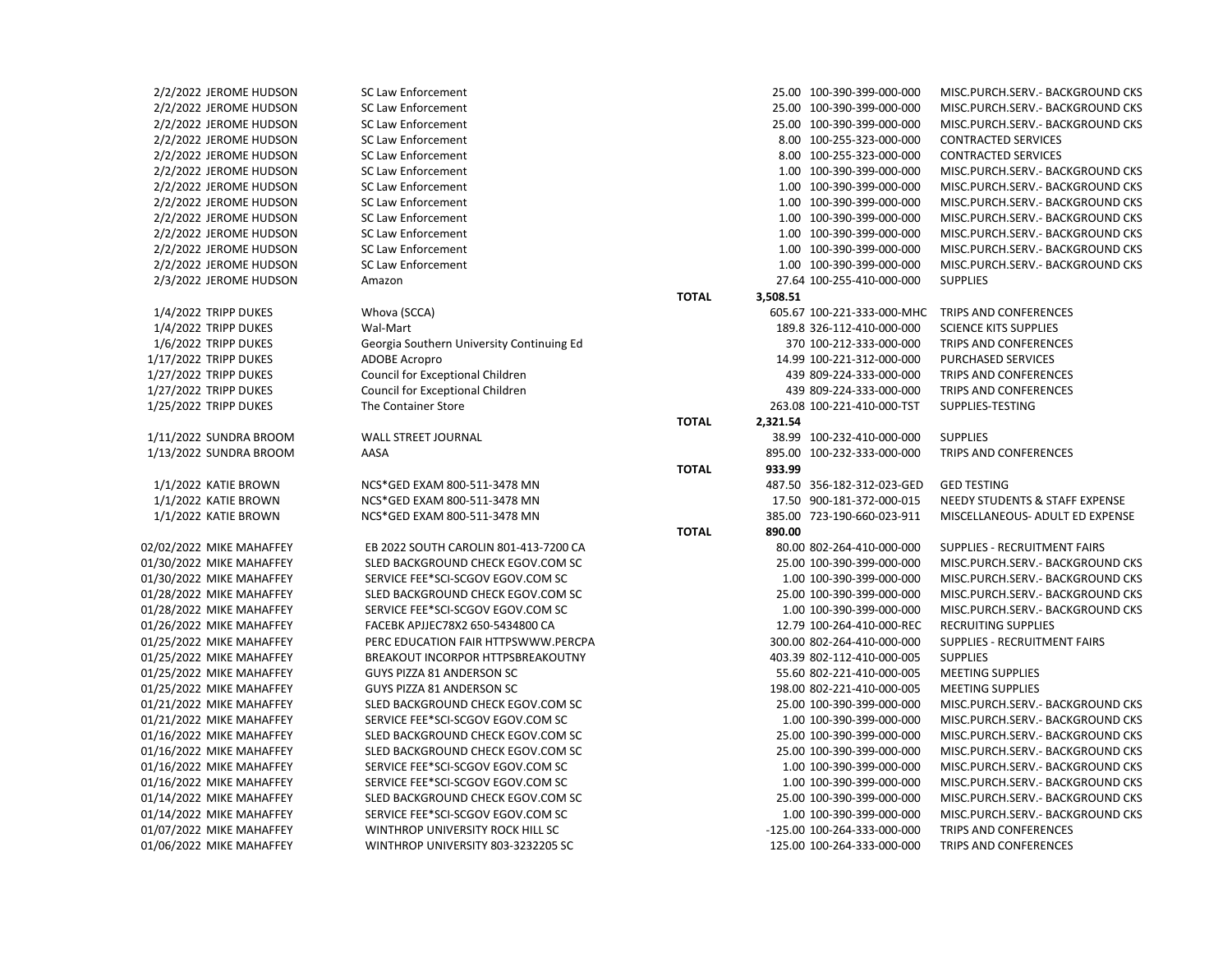| 2/2/2022 JEROME HUDSON   | SC <sub>L</sub> |
|--------------------------|-----------------|
| 2/2/2022 JEROME HUDSON   | SC <sub>L</sub> |
| 2/2/2022 JEROME HUDSON   | SC Li           |
| 2/2/2022 JEROME HUDSON   | SC <sub>L</sub> |
| 2/2/2022 JEROME HUDSON   | SC <sub>L</sub> |
| 2/2/2022 JEROME HUDSON   | SC Li           |
| 2/2/2022 JEROME HUDSON   | SC <sub>L</sub> |
| 2/2/2022 JEROME HUDSON   | SC <sub>L</sub> |
| 2/2/2022 JEROME HUDSON   | SC <sub>L</sub> |
| 2/2/2022 JEROME HUDSON   | SC <sub>L</sub> |
| 2/2/2022 JEROME HUDSON   | SC <sub>L</sub> |
| 2/2/2022 JEROME HUDSON   | SC Li           |
| 2/3/2022 JEROME HUDSON   | Ama             |
| 1/4/2022 TRIPP DUKES     | Who             |
| 1/4/2022 TRIPP DUKES     | Wal-            |
| 1/6/2022 TRIPP DUKES     | Geo             |
| 1/17/2022 TRIPP DUKES    | <b>ADO</b>      |
| 1/27/2022 TRIPP DUKES    | Cour            |
| 1/27/2022 TRIPP DUKES    | Cour            |
| 1/25/2022 TRIPP DUKES    | The             |
| 1/11/2022 SUNDRA BROOM   | WAL             |
| 1/13/2022 SUNDRA BROOM   | AAS,            |
| 1/1/2022 KATIE BROWN     | <b>NCS</b>      |
| 1/1/2022 KATIE BROWN     | <b>NCS</b>      |
| 1/1/2022 KATIE BROWN     | <b>NCS</b>      |
| 02/02/2022 MIKE MAHAFFEY | EB <sub>2</sub> |
| 01/30/2022 MIKE MAHAFFEY | <b>SLE</b>      |
| 01/30/2022 MIKE MAHAFFEY | <b>SER</b>      |
| 01/28/2022 MIKE MAHAFFEY | <b>SLE</b>      |
| 01/28/2022 MIKE MAHAFFEY | <b>SER</b>      |
| 01/26/2022 MIKE MAHAFFEY | FAC             |
| 01/25/2022 MIKE MAHAFFEY | PER             |
| 01/25/2022 MIKE MAHAFFEY | <b>BRE</b>      |
| 01/25/2022 MIKE MAHAFFEY | GU'             |
| 01/25/2022 MIKE MAHAFFEY | GU'             |
| 01/21/2022 MIKE MAHAFFEY | <b>SLE</b>      |
| 01/21/2022 MIKE MAHAFFEY | <b>SER</b>      |
| 01/16/2022 MIKE MAHAFFEY | <b>SLE</b>      |
| 01/16/2022 MIKE MAHAFFEY | <b>SLE</b>      |
| 01/16/2022 MIKE MAHAFFEY | <b>SER</b>      |
| 01/16/2022 MIKE MAHAFFEY | <b>SER</b>      |
| 01/14/2022 MIKE MAHAFFEY | <b>SLE</b>      |
| 01/14/2022 MIKE MAHAFFEY | SER             |

| 2/2/2022 JEROME HUDSON   | <b>SC Law Enforcement</b>                 |              |          | 25.00 100-390-399-000-000   | MISC.PUI        |
|--------------------------|-------------------------------------------|--------------|----------|-----------------------------|-----------------|
| 2/2/2022 JEROME HUDSON   | <b>SC Law Enforcement</b>                 |              |          | 25.00 100-390-399-000-000   | MISC.PUI        |
| 2/2/2022 JEROME HUDSON   | <b>SC Law Enforcement</b>                 |              |          | 25.00 100-390-399-000-000   | MISC.PUI        |
| 2/2/2022 JEROME HUDSON   | <b>SC Law Enforcement</b>                 |              |          | 8.00 100-255-323-000-000    | <b>CONTRA</b>   |
| 2/2/2022 JEROME HUDSON   | <b>SC Law Enforcement</b>                 |              |          | 8.00 100-255-323-000-000    | <b>CONTRA</b>   |
| 2/2/2022 JEROME HUDSON   | SC Law Enforcement                        |              |          | 1.00 100-390-399-000-000    | MISC.PUI        |
| 2/2/2022 JEROME HUDSON   | SC Law Enforcement                        |              |          | 1.00 100-390-399-000-000    | MISC.PUI        |
| 2/2/2022 JEROME HUDSON   | <b>SC Law Enforcement</b>                 |              |          | 1.00 100-390-399-000-000    | MISC.PUI        |
| 2/2/2022 JEROME HUDSON   | <b>SC Law Enforcement</b>                 |              |          | 1.00 100-390-399-000-000    | MISC.PUI        |
| 2/2/2022 JEROME HUDSON   | <b>SC Law Enforcement</b>                 |              |          | 1.00 100-390-399-000-000    | MISC.PUI        |
| 2/2/2022 JEROME HUDSON   | <b>SC Law Enforcement</b>                 |              |          | 1.00 100-390-399-000-000    | MISC.PUI        |
|                          | <b>SC Law Enforcement</b>                 |              |          | 1.00 100-390-399-000-000    | MISC.PUI        |
| 2/2/2022 JEROME HUDSON   |                                           |              |          |                             |                 |
| 2/3/2022 JEROME HUDSON   | Amazon                                    |              |          | 27.64 100-255-410-000-000   | <b>SUPPLIES</b> |
|                          |                                           | <b>TOTAL</b> | 3,508.51 |                             |                 |
| 1/4/2022 TRIPP DUKES     | Whova (SCCA)                              |              |          | 605.67 100-221-333-000-MHC  | <b>TRIPS AN</b> |
| 1/4/2022 TRIPP DUKES     | Wal-Mart                                  |              |          | 189.8 326-112-410-000-000   | <b>SCIENCE</b>  |
| 1/6/2022 TRIPP DUKES     | Georgia Southern University Continuing Ed |              |          | 370 100-212-333-000-000     | <b>TRIPS AN</b> |
| 1/17/2022 TRIPP DUKES    | <b>ADOBE Acropro</b>                      |              |          | 14.99 100-221-312-000-000   | <b>PURCHAS</b>  |
| 1/27/2022 TRIPP DUKES    | Council for Exceptional Children          |              |          | 439 809-224-333-000-000     | <b>TRIPS AN</b> |
| 1/27/2022 TRIPP DUKES    | Council for Exceptional Children          |              |          | 439 809-224-333-000-000     | <b>TRIPS AN</b> |
| 1/25/2022 TRIPP DUKES    | The Container Store                       |              |          | 263.08 100-221-410-000-TST  | <b>SUPPLIES</b> |
|                          |                                           | <b>TOTAL</b> | 2,321.54 |                             |                 |
| 1/11/2022 SUNDRA BROOM   | WALL STREET JOURNAL                       |              |          | 38.99 100-232-410-000-000   | <b>SUPPLIES</b> |
| 1/13/2022 SUNDRA BROOM   | AASA                                      |              |          | 895.00 100-232-333-000-000  | <b>TRIPS AN</b> |
|                          |                                           | <b>TOTAL</b> | 933.99   |                             |                 |
| 1/1/2022 KATIE BROWN     | NCS*GED EXAM 800-511-3478 MN              |              |          | 487.50 356-182-312-023-GED  | <b>GED TEST</b> |
| 1/1/2022 KATIE BROWN     | NCS*GED EXAM 800-511-3478 MN              |              |          | 17.50 900-181-372-000-015   | <b>NEEDY ST</b> |
| 1/1/2022 KATIE BROWN     | NCS*GED EXAM 800-511-3478 MN              |              |          | 385.00 723-190-660-023-911  | <b>MISCELLA</b> |
|                          |                                           | <b>TOTAL</b> | 890.00   |                             |                 |
| 02/02/2022 MIKE MAHAFFEY | EB 2022 SOUTH CAROLIN 801-413-7200 CA     |              |          | 80.00 802-264-410-000-000   | <b>SUPPLIES</b> |
| 01/30/2022 MIKE MAHAFFEY | SLED BACKGROUND CHECK EGOV.COM SC         |              |          | 25.00 100-390-399-000-000   | MISC.PUI        |
| 01/30/2022 MIKE MAHAFFEY | SERVICE FEE*SCI-SCGOV EGOV.COM SC         |              |          | 1.00 100-390-399-000-000    | MISC.PUI        |
| 01/28/2022 MIKE MAHAFFEY | SLED BACKGROUND CHECK EGOV.COM SC         |              |          | 25.00 100-390-399-000-000   | MISC.PUI        |
| 01/28/2022 MIKE MAHAFFEY | SERVICE FEE*SCI-SCGOV EGOV.COM SC         |              |          | 1.00 100-390-399-000-000    | MISC.PUI        |
| 01/26/2022 MIKE MAHAFFEY | FACEBK APJJEC78X2 650-5434800 CA          |              |          | 12.79 100-264-410-000-REC   | <b>RECRUITI</b> |
| 01/25/2022 MIKE MAHAFFEY | PERC EDUCATION FAIR HTTPSWWW.PERCPA       |              |          | 300.00 802-264-410-000-000  | <b>SUPPLIES</b> |
| 01/25/2022 MIKE MAHAFFEY | BREAKOUT INCORPOR HTTPSBREAKOUTNY         |              |          | 403.39 802-112-410-000-005  | <b>SUPPLIES</b> |
| 01/25/2022 MIKE MAHAFFEY | GUYS PIZZA 81 ANDERSON SC                 |              |          | 55.60 802-221-410-000-005   | <b>MEETING</b>  |
| 01/25/2022 MIKE MAHAFFEY | GUYS PIZZA 81 ANDERSON SC                 |              |          | 198.00 802-221-410-000-005  | <b>MEETING</b>  |
| 01/21/2022 MIKE MAHAFFEY | SLED BACKGROUND CHECK EGOV.COM SC         |              |          | 25.00 100-390-399-000-000   | MISC.PUI        |
| 01/21/2022 MIKE MAHAFFEY | SERVICE FEE*SCI-SCGOV EGOV.COM SC         |              |          | 1.00 100-390-399-000-000    | MISC.PUI        |
| 01/16/2022 MIKE MAHAFFEY | SLED BACKGROUND CHECK EGOV.COM SC         |              |          | 25.00 100-390-399-000-000   | MISC.PUI        |
| 01/16/2022 MIKE MAHAFFEY | SLED BACKGROUND CHECK EGOV.COM SC         |              |          | 25.00 100-390-399-000-000   | MISC.PUI        |
| 01/16/2022 MIKE MAHAFFEY | SERVICE FEE*SCI-SCGOV EGOV.COM SC         |              |          | 1.00 100-390-399-000-000    | MISC.PUI        |
| 01/16/2022 MIKE MAHAFFEY | SERVICE FEE*SCI-SCGOV EGOV.COM SC         |              |          | 1.00 100-390-399-000-000    | MISC.PUI        |
| 01/14/2022 MIKE MAHAFFEY | SLED BACKGROUND CHECK EGOV.COM SC         |              |          | 25.00 100-390-399-000-000   | MISC.PUI        |
| 01/14/2022 MIKE MAHAFFEY | SERVICE FEE*SCI-SCGOV EGOV.COM SC         |              |          | 1.00 100-390-399-000-000    | MISC.PUI        |
| 01/07/2022 MIKE MAHAFFEY | WINTHROP UNIVERSITY ROCK HILL SC          |              |          | -125.00 100-264-333-000-000 | <b>TRIPS AN</b> |
| 01/06/2022 MIKE MAHAFFEY | WINTHROP UNIVERSITY 803-3232205 SC        |              |          | 125.00 100-264-333-000-000  | <b>TRIPS AN</b> |
|                          |                                           |              |          |                             |                 |

| 2/2/2022 JEROME HUDSON   | <b>SC Law Enforcement</b>                 |              | 25.00 100-390-399-000-000   | MISC.PURCH.SERV. - BACKGROUND CKS |
|--------------------------|-------------------------------------------|--------------|-----------------------------|-----------------------------------|
| 2/2/2022 JEROME HUDSON   | <b>SC Law Enforcement</b>                 |              | 25.00 100-390-399-000-000   | MISC.PURCH.SERV.- BACKGROUND CKS  |
| 2/2/2022 JEROME HUDSON   | <b>SC Law Enforcement</b>                 |              | 25.00 100-390-399-000-000   | MISC.PURCH.SERV. - BACKGROUND CKS |
| 2/2/2022 JEROME HUDSON   | <b>SC Law Enforcement</b>                 |              | 8.00 100-255-323-000-000    | <b>CONTRACTED SERVICES</b>        |
| 2/2/2022 JEROME HUDSON   | <b>SC Law Enforcement</b>                 |              | 8.00 100-255-323-000-000    | <b>CONTRACTED SERVICES</b>        |
| 2/2/2022 JEROME HUDSON   | <b>SC Law Enforcement</b>                 |              | 1.00 100-390-399-000-000    | MISC.PURCH.SERV. - BACKGROUND CKS |
| 2/2/2022 JEROME HUDSON   | <b>SC Law Enforcement</b>                 |              | 1.00 100-390-399-000-000    | MISC.PURCH.SERV. - BACKGROUND CKS |
| 2/2/2022 JEROME HUDSON   | <b>SC Law Enforcement</b>                 |              | 1.00 100-390-399-000-000    | MISC.PURCH.SERV.- BACKGROUND CKS  |
| 2/2/2022 JEROME HUDSON   | <b>SC Law Enforcement</b>                 |              | 1.00 100-390-399-000-000    | MISC.PURCH.SERV.- BACKGROUND CKS  |
| 2/2/2022 JEROME HUDSON   | <b>SC Law Enforcement</b>                 |              | 1.00 100-390-399-000-000    | MISC.PURCH.SERV. - BACKGROUND CKS |
| 2/2/2022 JEROME HUDSON   | <b>SC Law Enforcement</b>                 |              | 1.00 100-390-399-000-000    | MISC.PURCH.SERV.- BACKGROUND CKS  |
| 2/2/2022 JEROME HUDSON   | <b>SC Law Enforcement</b>                 |              | 1.00 100-390-399-000-000    | MISC.PURCH.SERV.- BACKGROUND CKS  |
| 2/3/2022 JEROME HUDSON   | Amazon                                    |              | 27.64 100-255-410-000-000   | <b>SUPPLIES</b>                   |
|                          |                                           | <b>TOTAL</b> | 3,508.51                    |                                   |
| 1/4/2022 TRIPP DUKES     | Whova (SCCA)                              |              | 605.67 100-221-333-000-MHC  | TRIPS AND CONFERENCES             |
| 1/4/2022 TRIPP DUKES     | Wal-Mart                                  |              | 189.8 326-112-410-000-000   | <b>SCIENCE KITS SUPPLIES</b>      |
| 1/6/2022 TRIPP DUKES     | Georgia Southern University Continuing Ed |              | 370 100-212-333-000-000     | TRIPS AND CONFERENCES             |
| 1/17/2022 TRIPP DUKES    | <b>ADOBE Acropro</b>                      |              | 14.99 100-221-312-000-000   | PURCHASED SERVICES                |
| 1/27/2022 TRIPP DUKES    | Council for Exceptional Children          |              | 439 809-224-333-000-000     | TRIPS AND CONFERENCES             |
| 1/27/2022 TRIPP DUKES    | Council for Exceptional Children          |              | 439 809-224-333-000-000     | TRIPS AND CONFERENCES             |
| 1/25/2022 TRIPP DUKES    | The Container Store                       |              | 263.08 100-221-410-000-TST  | SUPPLIES-TESTING                  |
|                          |                                           | <b>TOTAL</b> | 2,321.54                    |                                   |
| 1/11/2022 SUNDRA BROOM   | <b>WALL STREET JOURNAL</b>                |              | 38.99 100-232-410-000-000   | <b>SUPPLIES</b>                   |
| 1/13/2022 SUNDRA BROOM   | AASA                                      |              | 895.00 100-232-333-000-000  | TRIPS AND CONFERENCES             |
|                          |                                           | <b>TOTAL</b> | 933.99                      |                                   |
| 1/1/2022 KATIE BROWN     | NCS*GED EXAM 800-511-3478 MN              |              | 487.50 356-182-312-023-GED  | <b>GED TESTING</b>                |
| 1/1/2022 KATIE BROWN     | NCS*GED EXAM 800-511-3478 MN              |              | 17.50 900-181-372-000-015   | NEEDY STUDENTS & STAFF EXPENSE    |
| 1/1/2022 KATIE BROWN     | NCS*GED EXAM 800-511-3478 MN              |              | 385.00 723-190-660-023-911  | MISCELLANEOUS- ADULT ED EXPENSE   |
|                          |                                           | <b>TOTAL</b> | 890.00                      |                                   |
| 02/02/2022 MIKE MAHAFFEY | EB 2022 SOUTH CAROLIN 801-413-7200 CA     |              | 80.00 802-264-410-000-000   | SUPPLIES - RECRUITMENT FAIRS      |
| 01/30/2022 MIKE MAHAFFEY | SLED BACKGROUND CHECK EGOV.COM SC         |              | 25.00 100-390-399-000-000   | MISC.PURCH.SERV. - BACKGROUND CKS |
| 01/30/2022 MIKE MAHAFFEY | SERVICE FEE*SCI-SCGOV EGOV.COM SC         |              | 1.00 100-390-399-000-000    | MISC.PURCH.SERV.- BACKGROUND CKS  |
| 01/28/2022 MIKE MAHAFFEY | SLED BACKGROUND CHECK EGOV.COM SC         |              | 25.00 100-390-399-000-000   | MISC.PURCH.SERV.- BACKGROUND CKS  |
| 01/28/2022 MIKE MAHAFFEY | SERVICE FEE*SCI-SCGOV EGOV.COM SC         |              | 1.00 100-390-399-000-000    | MISC.PURCH.SERV. - BACKGROUND CKS |
| 01/26/2022 MIKE MAHAFFEY | FACEBK APJJEC78X2 650-5434800 CA          |              | 12.79 100-264-410-000-REC   | <b>RECRUITING SUPPLIES</b>        |
| 01/25/2022 MIKE MAHAFFEY | PERC EDUCATION FAIR HTTPSWWW.PERCPA       |              | 300.00 802-264-410-000-000  | SUPPLIES - RECRUITMENT FAIRS      |
| 01/25/2022 MIKE MAHAFFEY | BREAKOUT INCORPOR HTTPSBREAKOUTNY         |              | 403.39 802-112-410-000-005  | <b>SUPPLIES</b>                   |
| 01/25/2022 MIKE MAHAFFEY | GUYS PIZZA 81 ANDERSON SC                 |              | 55.60 802-221-410-000-005   | <b>MEETING SUPPLIES</b>           |
| 01/25/2022 MIKE MAHAFFEY | GUYS PIZZA 81 ANDERSON SC                 |              | 198.00 802-221-410-000-005  | <b>MEETING SUPPLIES</b>           |
| 01/21/2022 MIKE MAHAFFEY | SLED BACKGROUND CHECK EGOV.COM SC         |              | 25.00 100-390-399-000-000   | MISC.PURCH.SERV. - BACKGROUND CKS |
| 01/21/2022 MIKE MAHAFFEY | SERVICE FEE*SCI-SCGOV EGOV.COM SC         |              | 1.00 100-390-399-000-000    | MISC.PURCH.SERV. - BACKGROUND CKS |
| 01/16/2022 MIKE MAHAFFEY | SLED BACKGROUND CHECK EGOV.COM SC         |              | 25.00 100-390-399-000-000   | MISC.PURCH.SERV. - BACKGROUND CKS |
| 01/16/2022 MIKE MAHAFFEY | SLED BACKGROUND CHECK EGOV.COM SC         |              | 25.00 100-390-399-000-000   | MISC.PURCH.SERV. - BACKGROUND CKS |
| 01/16/2022 MIKE MAHAFFEY | SERVICE FEE*SCI-SCGOV EGOV.COM SC         |              | 1.00 100-390-399-000-000    | MISC.PURCH.SERV.- BACKGROUND CKS  |
| 01/16/2022 MIKE MAHAFFEY | SERVICE FEE*SCI-SCGOV EGOV.COM SC         |              | 1.00 100-390-399-000-000    | MISC.PURCH.SERV.- BACKGROUND CKS  |
| 01/14/2022 MIKE MAHAFFEY | SLED BACKGROUND CHECK EGOV.COM SC         |              | 25.00 100-390-399-000-000   | MISC.PURCH.SERV.- BACKGROUND CKS  |
| 01/14/2022 MIKE MAHAFFEY | SERVICE FEE*SCI-SCGOV EGOV.COM SC         |              | 1.00 100-390-399-000-000    | MISC.PURCH.SERV.- BACKGROUND CKS  |
| 01/07/2022 MIKE MAHAFFEY | WINTHROP UNIVERSITY ROCK HILL SC          |              | -125.00 100-264-333-000-000 | TRIPS AND CONFERENCES             |
| 01/06/2022 MIKE MAHAFFEY | WINTHROP UNIVERSITY 803-3232205 SC        |              | 125.00 100-264-333-000-000  | TRIPS AND CONFERENCES             |
|                          |                                           |              |                             |                                   |